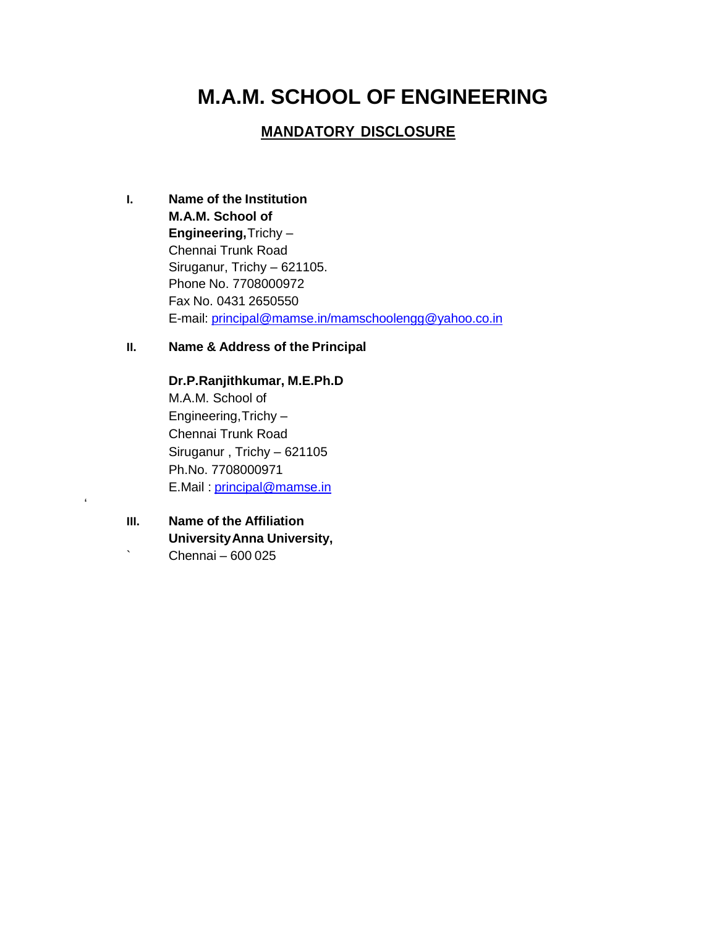# **M.A.M. SCHOOL OF ENGINEERING**

### **MANDATORY DISCLOSURE**

- **I. Name of the Institution M.A.M. School of Engineering,**Trichy – Chennai Trunk Road Siruganur, Trichy – 621105. Phone No. 7708000972 Fax No. 0431 2650550 E-mail: principal@mamse.in/mamschoolengg@yahoo.co.in
- **II. Name & Address of the Principal**

**Dr.P.Ranjithkumar, M.E.Ph.D** M.A.M. School of Engineering,Trichy – Chennai Trunk Road Siruganur , Trichy – 621105 Ph.No. 7708000971 E.Mail : [principal@mamse.in](mailto:principal@mamse.in)

**III. Name of the Affiliation UniversityAnna University,**  $\degree$  Chennai – 600 025

'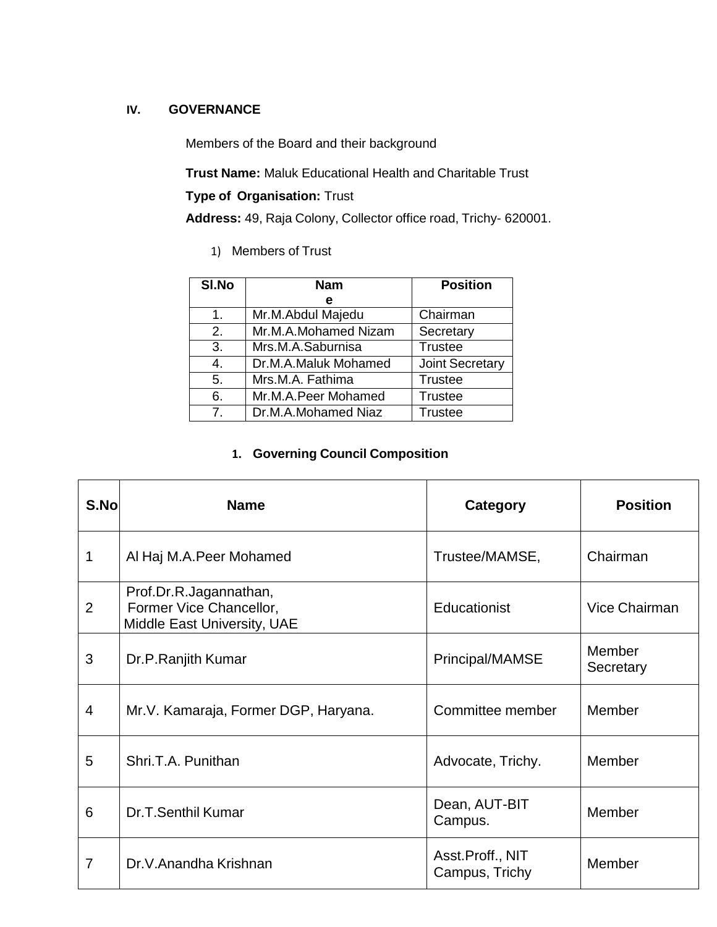### **IV. GOVERNANCE**

Members of the Board and their background

**Trust Name:** Maluk Educational Health and Charitable Trust

### **Type of Organisation:** Trust

**Address:** 49, Raja Colony, Collector office road, Trichy- 620001.

1) Members of Trust

| SI.No            | <b>Nam</b>           | <b>Position</b>        |
|------------------|----------------------|------------------------|
|                  | е                    |                        |
| 1.               | Mr.M.Abdul Majedu    | Chairman               |
| 2.               | Mr.M.A.Mohamed Nizam | Secretary              |
| $\overline{3}$ . | Mrs.M.A.Saburnisa    | <b>Trustee</b>         |
| 4.               | Dr.M.A.Maluk Mohamed | <b>Joint Secretary</b> |
| 5.               | Mrs.M.A. Fathima     | <b>Trustee</b>         |
| 6.               | Mr.M.A.Peer Mohamed  | <b>Trustee</b>         |
| 7 <sup>1</sup>   | Dr.M.A.Mohamed Niaz  | <b>Trustee</b>         |

## **1. Governing Council Composition**

| S.No | <b>Name</b>                                                                      | <b>Category</b>                    | <b>Position</b>     |
|------|----------------------------------------------------------------------------------|------------------------------------|---------------------|
| 1    | Al Haj M.A.Peer Mohamed                                                          | Trustee/MAMSE,                     | Chairman            |
| 2    | Prof.Dr.R.Jagannathan,<br>Former Vice Chancellor,<br>Middle East University, UAE | Educationist                       | Vice Chairman       |
| 3    | Dr.P.Ranjith Kumar                                                               | Principal/MAMSE                    | Member<br>Secretary |
| 4    | Mr.V. Kamaraja, Former DGP, Haryana.                                             | Committee member                   | Member              |
| 5    | Shri.T.A. Punithan                                                               | Advocate, Trichy.                  | Member              |
| 6    | Dr.T.Senthil Kumar                                                               | Dean, AUT-BIT<br>Campus.           | Member              |
| 7    | Dr.V.Anandha Krishnan                                                            | Asst.Proff., NIT<br>Campus, Trichy | Member              |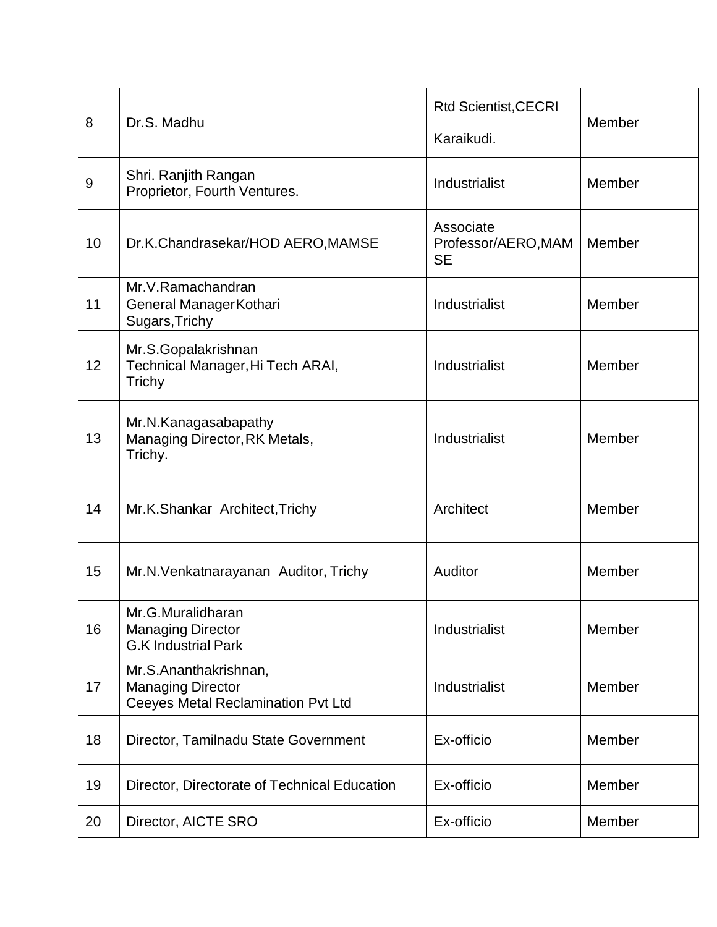| 8                | Dr.S. Madhu                                                                                    | <b>Rtd Scientist, CECRI</b><br>Karaikudi.     | Member |
|------------------|------------------------------------------------------------------------------------------------|-----------------------------------------------|--------|
| $\boldsymbol{9}$ | Shri. Ranjith Rangan<br>Proprietor, Fourth Ventures.                                           | Industrialist                                 | Member |
| 10               | Dr.K.Chandrasekar/HOD AERO, MAMSE                                                              | Associate<br>Professor/AERO, MAM<br><b>SE</b> | Member |
| 11               | Mr.V.Ramachandran<br>General ManagerKothari<br>Sugars, Trichy                                  | Industrialist                                 | Member |
| 12               | Mr.S.Gopalakrishnan<br>Technical Manager, Hi Tech ARAI,<br>Trichy                              | Industrialist                                 | Member |
| 13               | Mr.N.Kanagasabapathy<br>Managing Director, RK Metals,<br>Trichy.                               | Industrialist                                 | Member |
| 14               | Mr.K.Shankar Architect, Trichy                                                                 | Architect                                     | Member |
| 15               | Mr.N. Venkatnarayanan Auditor, Trichy                                                          | Auditor                                       | Member |
| 16               | Mr.G.Muralidharan<br><b>Managing Director</b><br><b>G.K Industrial Park</b>                    | Industrialist                                 | Member |
| 17               | Mr.S.Ananthakrishnan,<br><b>Managing Director</b><br><b>Ceeyes Metal Reclamination Pvt Ltd</b> | Industrialist                                 | Member |
| 18               | Director, Tamilnadu State Government                                                           | Ex-officio                                    | Member |
| 19               | Director, Directorate of Technical Education                                                   | Ex-officio                                    | Member |
| 20               | Director, AICTE SRO                                                                            | Ex-officio                                    | Member |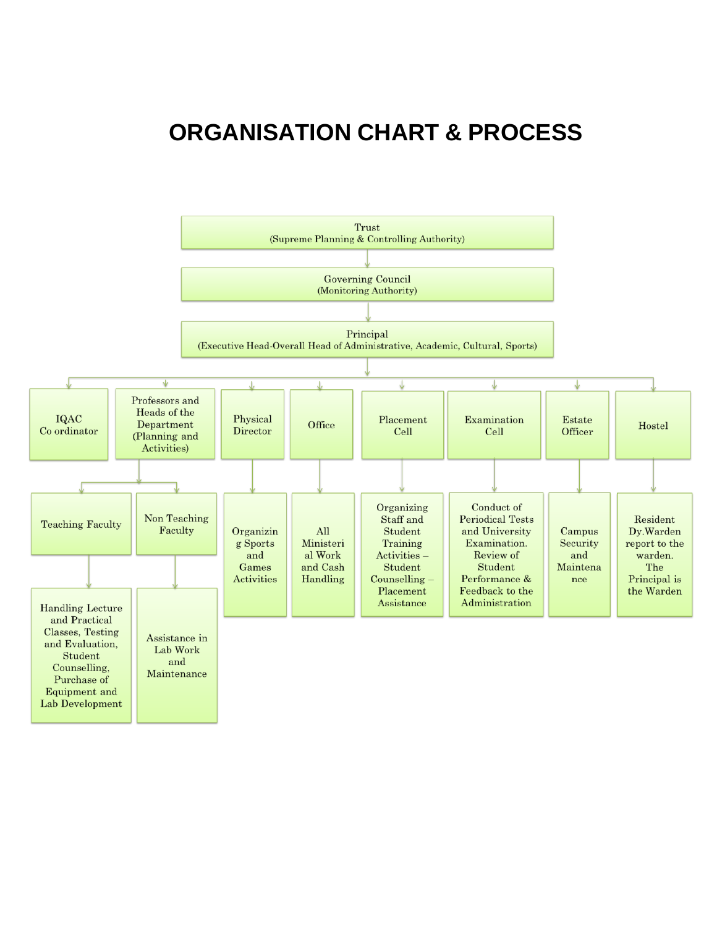# **ORGANISATION CHART & PROCESS**

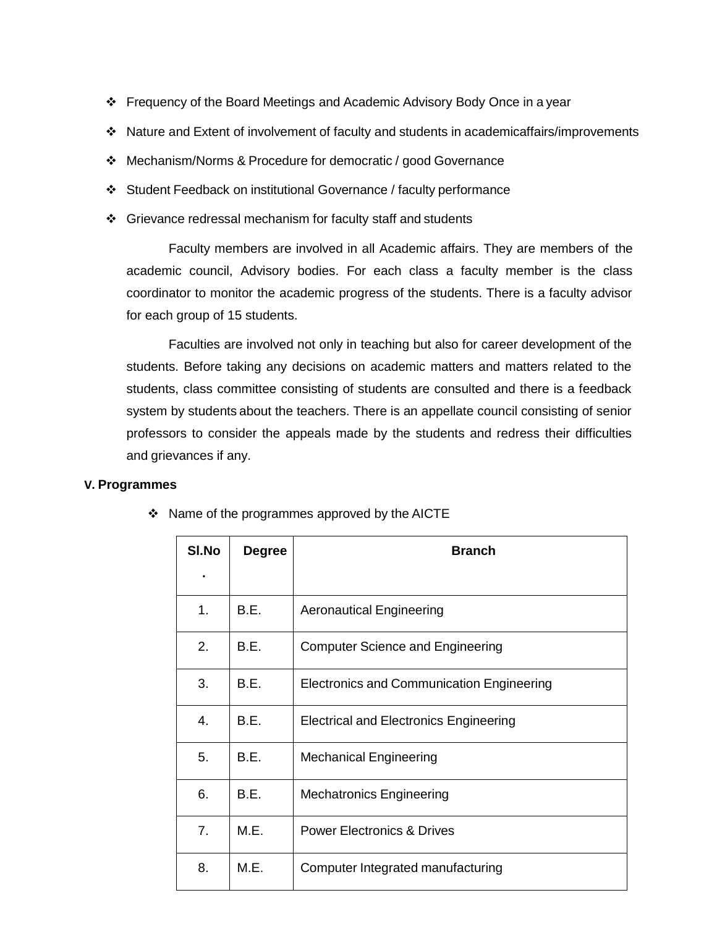- Frequency of the Board Meetings and Academic Advisory Body Once in a year
- Nature and Extent of involvement of faculty and students in academicaffairs/improvements
- Mechanism/Norms & Procedure for democratic / good Governance
- Student Feedback on institutional Governance / faculty performance
- Grievance redressal mechanism for faculty staff and students

Faculty members are involved in all Academic affairs. They are members of the academic council, Advisory bodies. For each class a faculty member is the class coordinator to monitor the academic progress of the students. There is a faculty advisor for each group of 15 students.

Faculties are involved not only in teaching but also for career development of the students. Before taking any decisions on academic matters and matters related to the students, class committee consisting of students are consulted and there is a feedback system by students about the teachers. There is an appellate council consisting of senior professors to consider the appeals made by the students and redress their difficulties and grievances if any.

### **V. Programmes**

| SI.No          | <b>Degree</b> | <b>Branch</b>                                    |  |  |  |  |  |
|----------------|---------------|--------------------------------------------------|--|--|--|--|--|
|                |               |                                                  |  |  |  |  |  |
| 1 <sub>1</sub> | B.E.          | <b>Aeronautical Engineering</b>                  |  |  |  |  |  |
| 2.             | B.E.          | <b>Computer Science and Engineering</b>          |  |  |  |  |  |
| 3.             | B.E.          | <b>Electronics and Communication Engineering</b> |  |  |  |  |  |
| 4.             | B.E.          | <b>Electrical and Electronics Engineering</b>    |  |  |  |  |  |
| 5.             | B.E.          | <b>Mechanical Engineering</b>                    |  |  |  |  |  |
| 6.             | B.E.          | <b>Mechatronics Engineering</b>                  |  |  |  |  |  |
| 7 <sub>1</sub> | M.E.          | <b>Power Electronics &amp; Drives</b>            |  |  |  |  |  |
| 8.             | M.E.          | Computer Integrated manufacturing                |  |  |  |  |  |

❖ Name of the programmes approved by the AICTE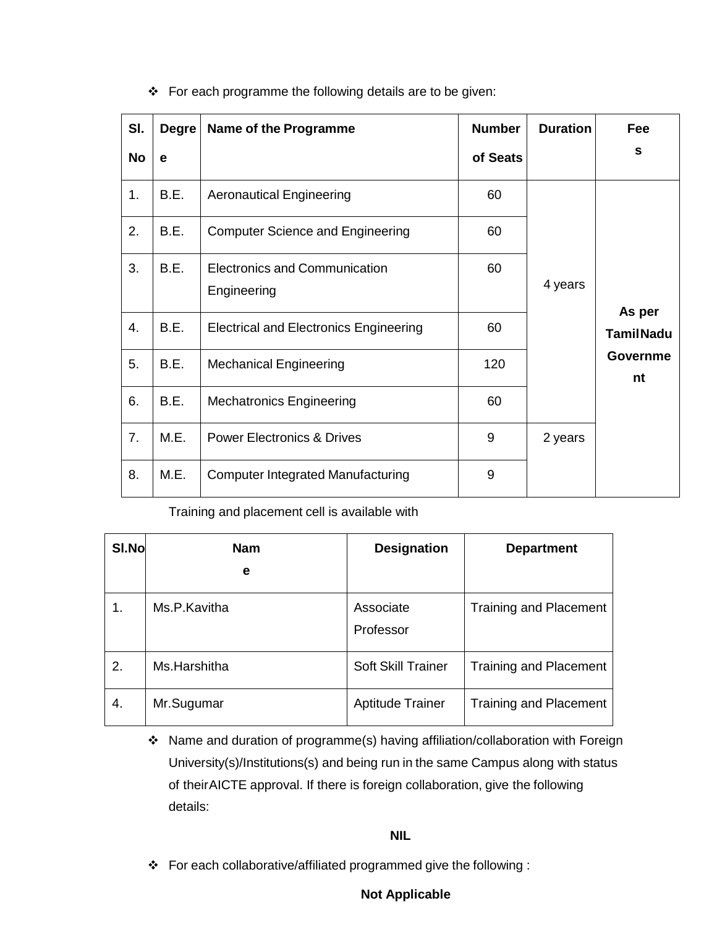| SI.       | <b>Degre</b> | Name of the Programme                               | <b>Number</b> | <b>Duration</b> | Fee                        |
|-----------|--------------|-----------------------------------------------------|---------------|-----------------|----------------------------|
| <b>No</b> | e            |                                                     | of Seats      |                 | S                          |
| 1.        | B.E.         | <b>Aeronautical Engineering</b>                     | 60            |                 |                            |
| 2.        | B.E.         | <b>Computer Science and Engineering</b>             | 60            |                 |                            |
| 3.        | B.E.         | <b>Electronics and Communication</b><br>Engineering | 60            | 4 years         |                            |
| 4.        | B.E.         | <b>Electrical and Electronics Engineering</b>       | 60            |                 | As per<br><b>TamilNadu</b> |
| 5.        | B.E.         | <b>Mechanical Engineering</b>                       | 120           |                 | <b>Governme</b><br>nt      |
| 6.        | B.E.         | <b>Mechatronics Engineering</b>                     | 60            |                 |                            |
| 7.        | M.E.         | <b>Power Electronics &amp; Drives</b>               | 9             | 2 years         |                            |
| 8.        | M.E.         | <b>Computer Integrated Manufacturing</b>            | 9             |                 |                            |

\* For each programme the following details are to be given:

Training and placement cell is available with

| SI.No | Nam<br>е     | <b>Designation</b>        | <b>Department</b>             |
|-------|--------------|---------------------------|-------------------------------|
| 1.    | Ms.P.Kavitha | Associate<br>Professor    | <b>Training and Placement</b> |
| 2.    | Ms.Harshitha | <b>Soft Skill Trainer</b> | <b>Training and Placement</b> |
| 4.    | Mr.Sugumar   | <b>Aptitude Trainer</b>   | <b>Training and Placement</b> |

 Name and duration of programme(s) having affiliation/collaboration with Foreign University(s)/Institutions(s) and being run in the same Campus along with status of theirAICTE approval. If there is foreign collaboration, give the following details:

### **NIL**

For each collaborative/affiliated programmed give the following :

### **Not Applicable**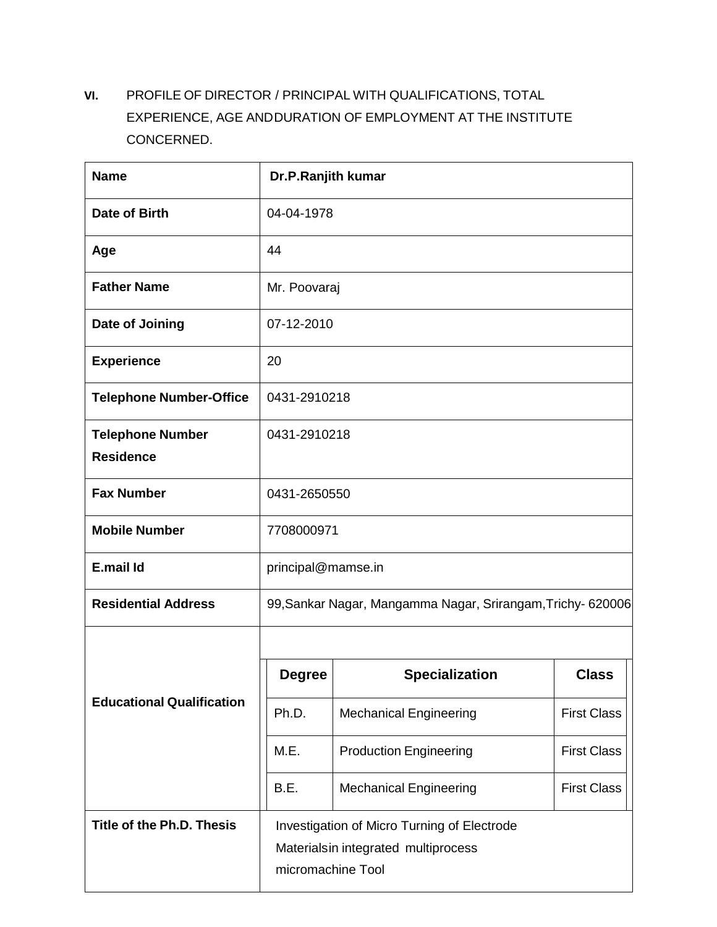**VI.** PROFILE OF DIRECTOR / PRINCIPAL WITH QUALIFICATIONS, TOTAL EXPERIENCE, AGE ANDDURATION OF EMPLOYMENT AT THE INSTITUTE CONCERNED.

| <b>Name</b>                                 | Dr.P.Ranjith kumar                                                                                      |                                                            |                    |  |  |  |
|---------------------------------------------|---------------------------------------------------------------------------------------------------------|------------------------------------------------------------|--------------------|--|--|--|
| Date of Birth                               | 04-04-1978                                                                                              |                                                            |                    |  |  |  |
| Age                                         | 44                                                                                                      |                                                            |                    |  |  |  |
| <b>Father Name</b>                          | Mr. Poovaraj                                                                                            |                                                            |                    |  |  |  |
| Date of Joining                             | 07-12-2010                                                                                              |                                                            |                    |  |  |  |
| <b>Experience</b>                           | 20                                                                                                      |                                                            |                    |  |  |  |
| <b>Telephone Number-Office</b>              | 0431-2910218                                                                                            |                                                            |                    |  |  |  |
| <b>Telephone Number</b><br><b>Residence</b> | 0431-2910218                                                                                            |                                                            |                    |  |  |  |
| <b>Fax Number</b>                           | 0431-2650550                                                                                            |                                                            |                    |  |  |  |
| <b>Mobile Number</b>                        | 7708000971                                                                                              |                                                            |                    |  |  |  |
| E.mail Id                                   | principal@mamse.in                                                                                      |                                                            |                    |  |  |  |
| <b>Residential Address</b>                  |                                                                                                         | 99, Sankar Nagar, Mangamma Nagar, Srirangam, Trichy-620006 |                    |  |  |  |
|                                             |                                                                                                         |                                                            |                    |  |  |  |
|                                             | <b>Degree</b>                                                                                           | <b>Specialization</b>                                      | <b>Class</b>       |  |  |  |
| <b>Educational Qualification</b>            | Ph.D.                                                                                                   | <b>Mechanical Engineering</b>                              | <b>First Class</b> |  |  |  |
|                                             | M.E.                                                                                                    | <b>Production Engineering</b>                              | <b>First Class</b> |  |  |  |
|                                             | <b>First Class</b><br>B.E.<br><b>Mechanical Engineering</b>                                             |                                                            |                    |  |  |  |
| Title of the Ph.D. Thesis                   | Investigation of Micro Turning of Electrode<br>Materialsin integrated multiprocess<br>micromachine Tool |                                                            |                    |  |  |  |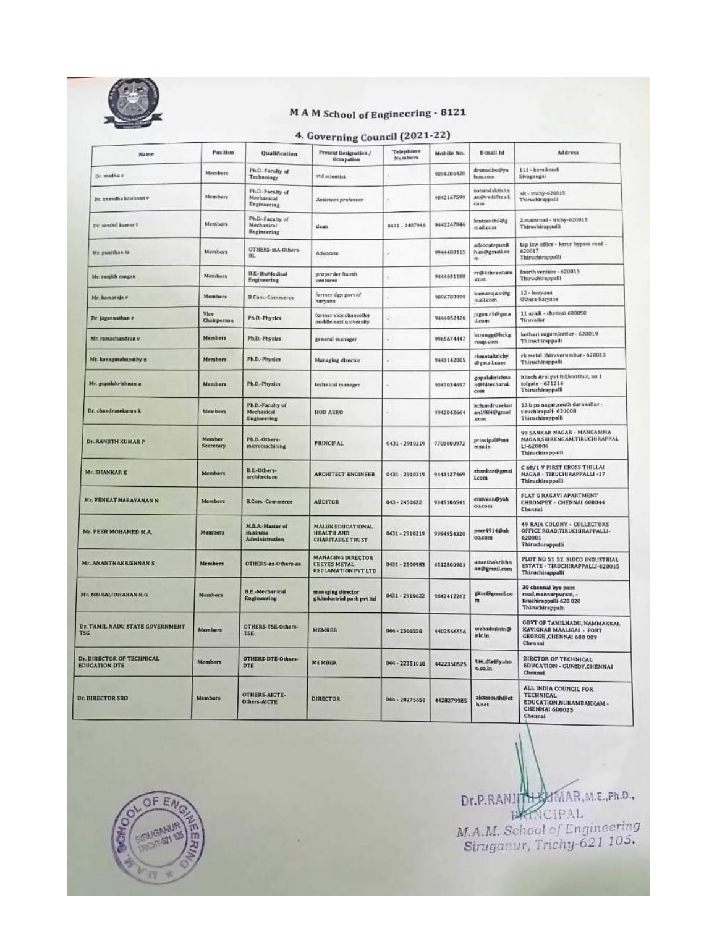

### MAM School of Engineering - 8121

## 4. Governing Council (2021-22)

| Name                                                     | <b>Position</b>     | Qualification                                          | Present Designation /<br>Occupation                                           | Telephone<br><b>Numbers</b> | Mobile No. | E-mail id                               | Address                                                                                                   |
|----------------------------------------------------------|---------------------|--------------------------------------------------------|-------------------------------------------------------------------------------|-----------------------------|------------|-----------------------------------------|-----------------------------------------------------------------------------------------------------------|
| Dr. madha a                                              | Members             | Ph.D.-Faculty of<br>Technology                         | rtil scientist                                                                |                             | 9094306420 | dramadhutbya<br>mus.non                 | 111 - karaikaudi<br>Sivagangal                                                                            |
| Dr. anandha krishnan v                                   | Members             | Ph.D.-Faculty of<br>Mechanical<br>Engineering          | Assistant professor                                                           |                             | 9042167599 | nanandakrishn<br>an@rediffmail<br>storm | nit - trichy-620015<br>Thiruchirappalli                                                                   |
| Dr. senthil kumar t                                      | Members             | Ph.D.-Faculty of<br>Mechanical<br>Engineering          | dean                                                                          | 0431 - 2407946              | 9443267846 | kmtsenthil@g<br>mail.com                | 2,mainroad - trichy-620015<br>Thiruchirappalli                                                            |
| Mr. punithan ta                                          | Members             | OTHERS-mA-Others-<br>Bt.                               | Advocate                                                                      |                             | 9944480115 | adcocatepunit<br>han@gmail.co<br>m      | tap law office - karur bypass road -<br>620017<br>Thiruchirappalli                                        |
| Mr. runjith rungan                                       | Members             | B.E-HioMedical<br>Engineering                          | propertier fourth<br>ventures                                                 |                             | 9444631188 | rr@4thventure<br>com                    | fourth venture - 620015<br>Thiruchtrappalli                                                               |
| Mr. kamaraja v                                           | Members             | <b>B.Com-Commerce</b>                                  | former dgp govt af<br>haryana                                                 |                             | 0896789999 | kamaraja.v@g<br>mail.com                | 12 - haryana<br>Others-haryana                                                                            |
| Dr. jagannathan r                                        | Vice<br>Chairperson | <b>Ph.D.-Physics</b>                                   | former vice chancellor<br>middle east university                              |                             | 9444052426 | jagnn.r1@gma<br>il.com                  | 11 avadi - chemnai 600050<br>Tiruvallur                                                                   |
| Mr. ramachandrun v                                       | Mambers             | Ph.D.-Physics                                          | general manager                                                               |                             | 9965674447 | ktrengg@hckg<br>гоир.com                | kothari sugars,kattur - 620019<br>Thiruchirappalli.                                                       |
| Mr. kanagasabapathy =                                    | Members             | Ph.D.-Physics                                          | Managing director                                                             |                             | 9443142005 | rismetaltrichy<br>@gmail.com            | rk metal. thiruverumbur - 620013<br>Thiruchirappalli                                                      |
| Mr. gopulakrishnan a                                     | Momburs             | Ph.D.-Physics                                          | technical manager                                                             |                             | 9047034697 | gopalakrishna<br>n@hitecharai.<br>com   | hitech Arai pvt Itd.koothur, no 1<br>tolgate - 621216<br>Thiruchirappalli                                 |
| Dr. chandrasekaran k                                     | Members             | Ph.D.-Faculty of<br>Mechanical<br>Engineering          | <b>HOD AERO</b>                                                               |                             | 9942042664 | kchandrusekar<br>an1984@gmail<br>com    | 13 b ps nagar,south daranaliur-<br>tiruchirapail- 620008<br>Thiruchirappalli                              |
| <b>DE RANJITH KUMAR P</b>                                | Member<br>Secretary | Ph.D.-Others-<br>micromachining                        | <b>PRINCIPAL</b>                                                              | 0431 - 2910219              | 7708000972 | principal@ma<br>mse.in                  | 99 SANKAR NAGAR - MANGAMMA<br>NAGAR SRIBENGAM, TIRUCHIRAPPAL<br>LI-620006<br>Thiruchirappalli             |
| <b>Mr. SHANKAR K</b>                                     | Members             | B.E.-Others-<br>architecture                           | <b>ARCHITECT ENGINEER</b>                                                     | 0431 - 2910219              | 0443127469 | shankar@gmal<br><b>Lcom</b>             | C 68/1 V FIRST CROSS THILLAI<br>NAGAR - TIRUCHIRAPPALLI -17<br>Thiruchirappalli                           |
| Mr. VENKAT NARAYANAN N                                   | Members             | B.Com -Commerce                                        | <b>AUDITOR</b>                                                                | 043-2450622                 | 9345106541 | ennveen@yah<br>pacom                    | FLAT G RAGAVI APARTMENT<br>CHROMPET - CHENNAI 600044<br>Chennai                                           |
| Mr. PEER MOHAMED M.A.                                    | Members             | M.B.A - Master of<br><b>Business</b><br>Administration | <b>MALUK EDUCATIONAL</b><br>HEALTH AND<br><b>CHARITABLE TRUST</b>             | 0431 - 2910219              | 9994954320 | peer4914@ah<br>oo,com                   | 49 RAJA COLONY - COLLECTORS<br>OFFICE ROAD, TIRUCHIRAFPALLI-<br>620001<br>Thiruchirappalli                |
| <b>Mr. ANANTHAKRISHNAN S</b>                             | Members             | OTHERS-aa-Others-aa                                    | <b>MANAGING DIRECTOR</b><br><b>CEEYES METAL</b><br><b>RECLAMATION PVT LTD</b> | 0431 - 2500983              | 4312500903 | ananthakrishn<br>an@gmail.com           | PLOT NO 51 52, SIDCO INDUSTRIAL<br>ESTATE - TIRUCHIRAPPALLI-620015<br><b>Thiruchirappalli</b>             |
| Mr. MURALIDHARAN K.G                                     | <b>Members</b>      | <b>B.E.-Mechanical</b><br>Engineering                  | managing director<br>gkindustrial park pvt itd                                | 0431 - 2910622              | 9842412262 | gkm@gmuil.co<br>m                       | 30 chennal bye pass<br>road, mannarpuram, -<br>tiruchirappalli-620 020<br>Thiruchirappalli                |
| Dr. TAMIL NADU STATE GOVERNMENT<br>TSG                   | Members             | OTHERS-TSE-Others-<br><b>TSE</b>                       | <b>MEMBER</b>                                                                 | 044 - 2566556               | 4402566556 | webadmintn@<br>nicin                    | GOVT OF TAMILNADU, NAMMAKKAL<br>KAVIGNAR MAALIGAI - FORT<br>GEORGE ,CHENNAI 600 009<br>Chennai            |
| <b>Dr. DIRECTOR OF TECHNICAL</b><br><b>IDUCATION DTE</b> | <b>Members</b>      | OTHERS-DTE-Others-<br><b>DTE</b>                       | MEMBER                                                                        | 044-22351018                | 4422350525 | tae_dte@yaho<br>0.00.1n                 | DIRCTOR OF TECHNICAL<br>EDUCATION - GUNIDY, CHENNAI<br>Chennai                                            |
| r. DIRECTOR SRD                                          | <b>Members</b>      | OTHERS-AICTE-<br>Others-AICTE                          | DIRECTOR                                                                      | 044 - 20275650              | 4428279085 | aictesouth@et<br>hnet                   | ALL INDIA COUNCIL FOR<br><b>TECHNICAL</b><br>EDUCATION, NUKAMBAKKAM -<br><b>CHENNAI 600025</b><br>Chennai |

Dr.P.RANJIH HAMAR, M.E., Ph.D., PARTNCIPAL M.A.M. School of Engineering<br>Siruganur, Trichy-621 105.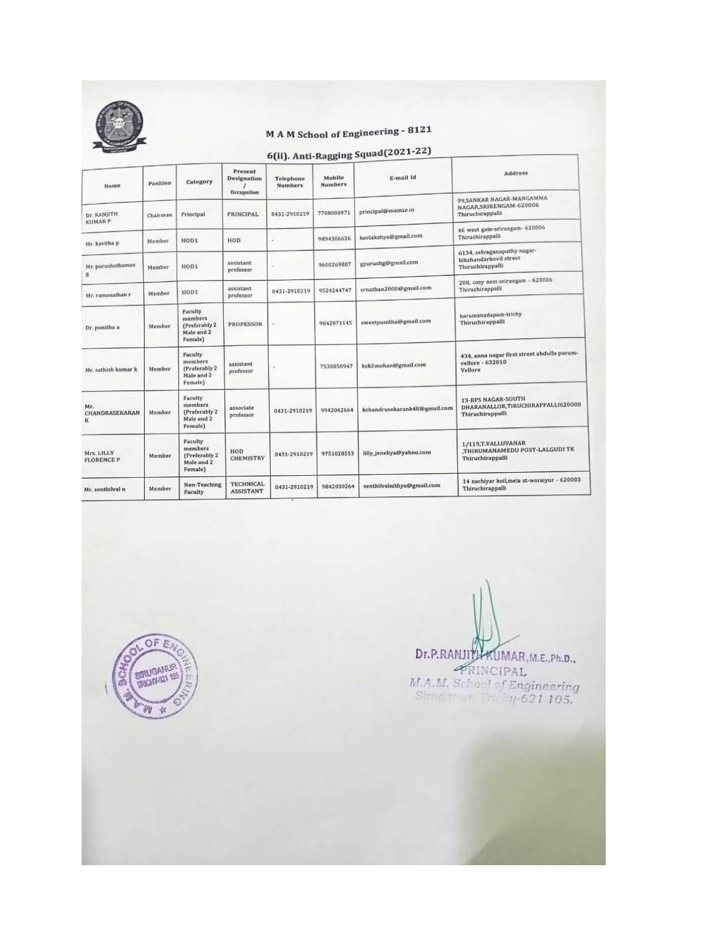

# M A M School of Engineering - 8121

6(ii). Anti-Ragging Squad(2021-22)

| Name                            | Position | Category                                                      | Present<br><b>Designation</b><br>Occupation | Telephone<br><b>Numbers</b> | Mobile<br><b>Numbers</b> | E-mail id                    | <b>Address</b>                                                                     |
|---------------------------------|----------|---------------------------------------------------------------|---------------------------------------------|-----------------------------|--------------------------|------------------------------|------------------------------------------------------------------------------------|
| Dr. RANJITH                     | Chairman | Principal                                                     | PRINCIPAL                                   | 0431-2910219                | 7708000971               | principal@mamse.in           | 99, SANKAR NAGAR-MANGAMMA<br>NAGAR, SRIRENGAM-620006<br>Thiruchirappalli           |
| <b>KUMARP</b><br>Mr. kavitha p  | Member   | HOD1                                                          | HOD                                         |                             | 9894306636               | kaviakshya@gmail.com         | 46 west gate-srirangam- 620006<br>Thiruchirappalli                                 |
| Mr. purushothaman               | Member   | HOD1                                                          | assistant<br>professor                      |                             | 9600269887               | gpurushg@gmail.com           | 6134, selvaganapathy nagar-<br>bikshandarkovil street<br>Thiruchirappalli          |
| g<br>Mr. ramanathan r           | Member   | HOD1                                                          | assistant<br>professor                      | 0431-2910219                | 9524244747               | srnathan2000@gmail.com       | 208, cozy nest-srirangam - 620006<br>Thiruchirappalli                              |
| Dr. punitha a                   | Member   | Faculty<br>members<br>(Preferably 2)<br>Male and 2<br>Female) | <b>PROFESSOR</b>                            |                             | 9842071145               | sweetpunitha@gmail.com       | karumanadapam-trichy<br>Thiruchirappalli                                           |
| Mr. sathish kumar k             | Member   | Faculty<br>members<br>(Preferably 2)<br>Male and 2<br>Female) | assistant<br>professor                      |                             | 7530050947               | ksk2mohan@gmail.com          | 434, anna nagar first street abdulla puram-<br>vellore - 632010<br>Vellore         |
| Mr.<br>CHANDRASEKARAN<br>к      | Member   | Faculty<br>members<br>(Preferably 2)<br>Male and 2<br>Female) | associate<br>professor                      | 0431-2910219                | 9942042664               | kchandrusekarank48@gmail.com | <b>13-BPS NAGAR-SOUTH</b><br>DHARANALLOR,TIRUCHIRAPPALLI620009<br>Thiruchirappalli |
| Mrs. LILLY<br><b>FLORENCE P</b> | Member   | Faculty<br>members<br>(Preferably 2)<br>Male and 2<br>Female) | HOD.<br><b>CHEMISTRY</b>                    | 0431-2910219                | 9751028553               | lilly_jeneliya@yahoo.com     | 1/119, T.VALLUVANAR<br>.THIRUMANAMEDU POST-LALGUDI TK<br>Thiruchirappalli          |
| Mr. senthilvel n                | Member   | Non-Teaching<br>Faculty                                       | <b>TECHNICAL</b><br><b>ASSISTANT</b>        | 0431-2910219                | 9842030264               | senthilvelnithya@gmail.com   | 14 nachiyar koll, mela st-woraiyur - 620003<br>Thiruchirappalli                    |

OF E **THERMOMMUR** 例 年

Dr.P.RANJITHKUMAR, M.E., Ph.D., PRINCIPAL M.A.M. School of Engineering<br>Sinugarian Linky-621 105.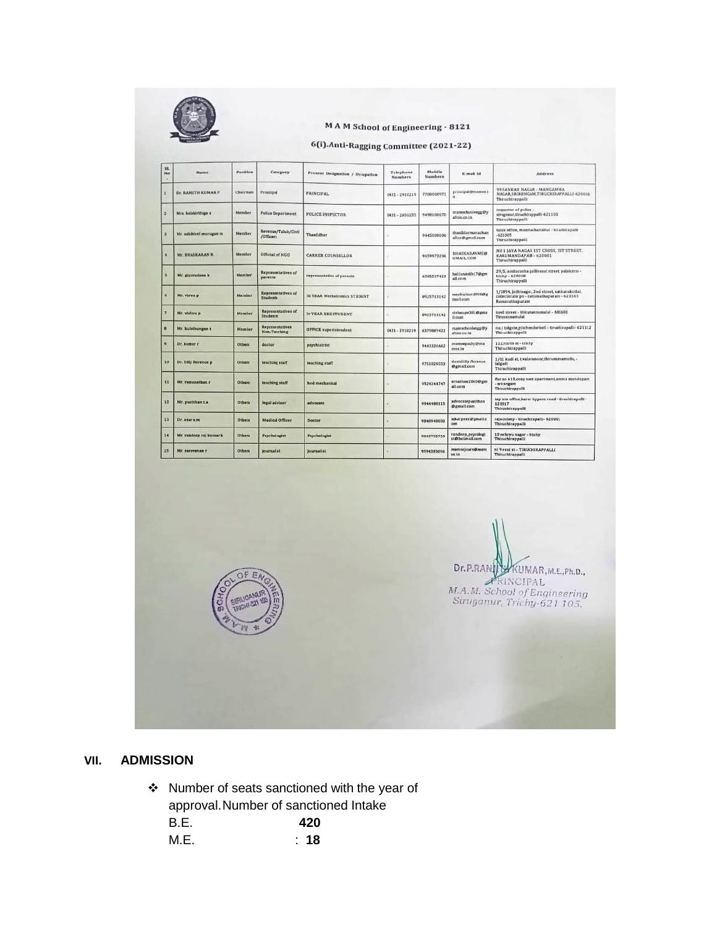

#### **MAM School of Engineering - 8121**

#### 6(i).Anti-Ragging Committee (2021-22)

| 3L<br>No                | <b>Name</b>                | Position      | Category                                     | Present Designation / Occupation     | Telephane<br><b>Numbers</b> | <b>Mobile</b><br>Numbers | E-mail Id.                               | Address                                                                                                              |
|-------------------------|----------------------------|---------------|----------------------------------------------|--------------------------------------|-----------------------------|--------------------------|------------------------------------------|----------------------------------------------------------------------------------------------------------------------|
| x                       | <b>Ве. КАМИТИ КОМАК Р.</b> | Chairman      | Principal                                    | <b>FRINCIPAL</b>                     | 0431-2910219                | 7208000971               | principal@mamse.i<br>'n.                 | 99 SANKAR NAGAR - MANGAMMA<br>NAGAR SRIRENGAM TIRUCHIRAPPALLI-620006<br>Thiruchirappalli                             |
| ×                       | Mrs. halakirthiga s        | Member        | <b>Police Department</b>                     | <b>POLICE INSPECTOR</b>              | 0431-2650255                | 9490100670               | manuahoolongg@y<br>ahoo.co.in            | inspector of police ><br>struganit, tiruchirappalli-621105<br>Thiruchtrappalli                                       |
|                         | Mr. sakilvivel murugan m   | Member        | Revenue/Taluk/Civil<br>/Officers             | Thasildhar                           |                             | 9445000006               | thasildarmanachan<br>allur@gmail.com     | tabak niffer, mannachanalker - ttruchirapalli<br>$-623005$<br>Thiruchirappalli                                       |
| ٠                       | Mr. EHASKARAN II.          | Member        | Official of NGD                              | <b>CARRER COUNSELLOR</b>             |                             | 9859973208               | <b><i>BHASICARANMED</i></b><br>GMAIL COM | NO 1 JAYA NAGAR 15T CROSS, 15T STREET.<br>KARUMANDAPAM - 620001<br>Thiruchimppalli                                   |
| s                       | Mr. givavudeen k           | Member        | <b>Representatives of</b><br>parents         | representative of parents.           |                             | 6385537423               | halifanasifa17@gm<br>all.com             | 29/5, ambarasha gallivasal street, pslakirni-<br>trichy - 620008<br><b>Thiruchirappalli</b>                          |
| ۵                       | Mr. viswa p                | Member        | Representatives of<br>Students               | <b>III YEAR Mechatronics STUDENT</b> |                             | 8925713142               | mechwizard099@g<br>mail cum              | 1/2004, jothinagar, 2nd street, sakkarakottal.<br>collectorate po - raminathapuram - 623303<br><b>Bamenathasyzam</b> |
| э                       | Mr. vishnu p               | Member        | <b>Representatives</b> of<br><b>Students</b> | <b>WYEAR EEE STUDENT</b>             |                             | 0925713142               | vishnupv301@gma<br>Il cons               | kovil street - thiravannsmalal - 606601<br>Tiruyannemalat                                                            |
| $\mathbf{u}$            | Mr. kulothungsn 1          | Member        | Representatives<br>Non-Teaching              | <b>GFFICE superintendent</b>         | 0431-2910219                | 6379009622               | mamachoolenga@y<br>ation co.in           | no.1 tolgate.pitchandarioti - tiruchirapalli-621112<br>Thiruchirappalli                                              |
| ٠                       | Dr. kumar r                | <b>Others</b> | doctor                                       | psychiatrist                         |                             | 9443226662               | mamsepachy@ma<br>mse in                  | 112,north st - trichy<br>Thiruchirappalli                                                                            |
| 10                      | Dr. lilliy florence p.     | Others        | teaching staff                               | teaching staff                       |                             | 9751020553               | davidility florence<br>@gmati.com        | 1/11 kodi st. t.valavanoor.thirumanamedu, -<br>laigudi<br>Thiruchirappalli                                           |
| $\overline{\mathbf{1}}$ | Mr. ramanathan r           | Others        | teaching staff                               | <b>hod mechanical</b>                |                             | 0524244747               | srnathan2000@gm<br>all.com               | flat no 410,002y hest apartment.amma mandapam<br>magnative-<br>Thiruchirappalli                                      |
| 12                      | Mr. punithan La.           | Others        | legal advisor                                | aifvocate                            |                             | 9944480115               | advocatepunithan<br><b>Ozmall</b> com    | tap law office.karur bypass road - tiruchirapalli -<br>520017<br>Thiruchirappaili                                    |
| 13                      | Dr. asar s.m.              | <b>Others</b> | Medical Officer                              | <b>Dector</b>                        |                             | 9840940003               | alkarpeer@gmails<br><b>OET</b>           | raja colony - tiruchirapalii - 820001<br>Thiruchtrappalli                                                            |
| 14                      | Mr. randeep raj kumar k    | Others        | <b>Psychologist</b>                          | Psychologist                         |                             | 9843795750               | randeep psycologi<br>st@hotmall.com      | 10 nehryu nagar - trichy.<br>Thiruchirappalls                                                                        |
| 15                      | Mr. saravanan r            | Others        | <b>Scientistist</b>                          | <b>journalist</b>                    |                             | 9994383096               | mamsejourn@mam<br>su.inc.                | ni 9 esst st - TIRUCHIKAPPALLI<br><b>Thiruchirappalli</b>                                                            |

Dr.P.RAN KUMAR, m.e., ph.d., M.A.M. School of Engineering<br>Siruganur, Trichy-621 105.

### **VII. ADMISSION**

\* Number of seats sanctioned with the year of approval.Number of sanctioned Intake B.E. **420** M.E. : **18**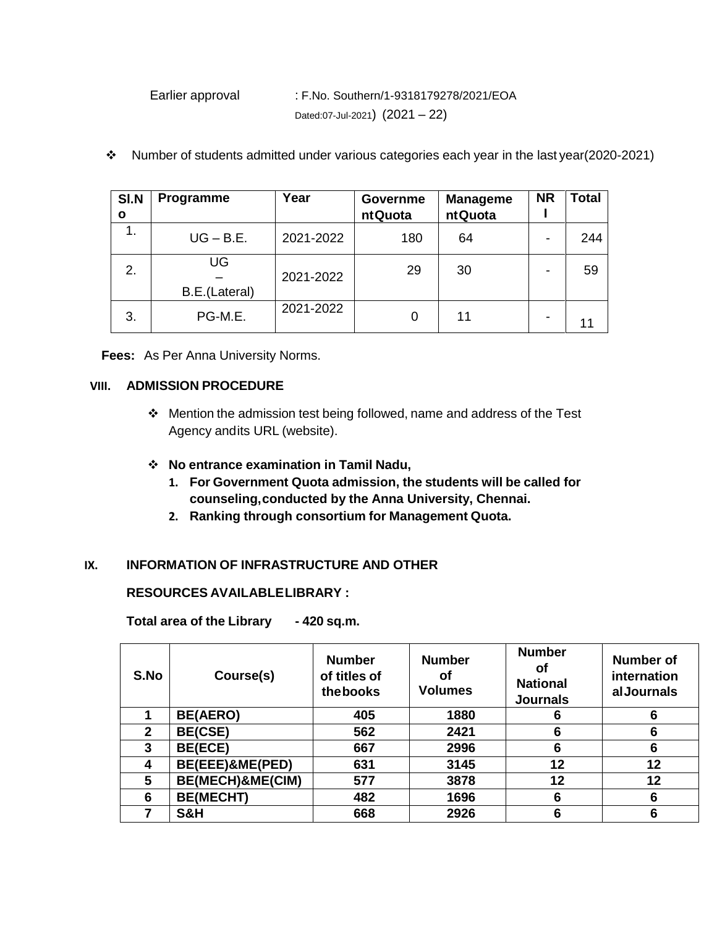Earlier approval : F.No. Southern/1-9318179278/2021/EOA Dated:07-Jul-2021) (2021 – 22)

| SI.N<br>O | Programme           | Year      | Governme<br><b>ntQuota</b> | <b>Manageme</b><br><b>ntQuota</b> | <b>NR</b> | <b>Total</b> |
|-----------|---------------------|-----------|----------------------------|-----------------------------------|-----------|--------------|
| 1.        | $UG - B.E.$         | 2021-2022 | 180                        | 64                                |           | 244          |
| 2.        | UG<br>B.E.(Lateral) | 2021-2022 | 29                         | 30                                |           | 59           |
| 3.        | PG-M.E.             | 2021-2022 | 0                          | 11                                |           | 11           |

Number of students admitted under various categories each year in the last year(2020-2021)

**Fees:** As Per Anna University Norms.

### **VIII. ADMISSION PROCEDURE**

 Mention the admission test being followed, name and address of the Test Agency andits URL (website).

### **No entrance examination in Tamil Nadu,**

- **1. For Government Quota admission, the students will be called for counseling,conducted by the Anna University, Chennai.**
- **2. Ranking through consortium for Management Quota.**

### **IX. INFORMATION OF INFRASTRUCTURE AND OTHER**

### **RESOURCES AVAILABLELIBRARY :**

**Total area of the Library - 420 sq.m.**

| S.No         | Course(s)        | <b>Number</b><br>of titles of<br>thebooks | <b>Number</b><br>Οf<br><b>Volumes</b> | <b>Number</b><br>οf<br><b>National</b><br><b>Journals</b> | Number of<br>internation<br>alJournals |
|--------------|------------------|-------------------------------------------|---------------------------------------|-----------------------------------------------------------|----------------------------------------|
|              | <b>BE(AERO)</b>  | 405                                       | 1880                                  | 6                                                         | 6                                      |
| $\mathbf{2}$ | <b>BE(CSE)</b>   | 562                                       | 2421                                  | 6                                                         | 6                                      |
| 3            | <b>BE(ECE)</b>   | 667                                       | 2996                                  | 6                                                         | 6                                      |
| 4            | BE(EEE)&ME(PED)  | 631                                       | 3145                                  | 12                                                        | 12                                     |
| 5            | BE(MECH)&ME(CIM) | 577                                       | 3878                                  | 12                                                        | 12                                     |
| 6            | <b>BE(MECHT)</b> | 482                                       | 1696                                  | 6                                                         | 6                                      |
|              | S&H              | 668                                       | 2926                                  | 6                                                         | 6                                      |